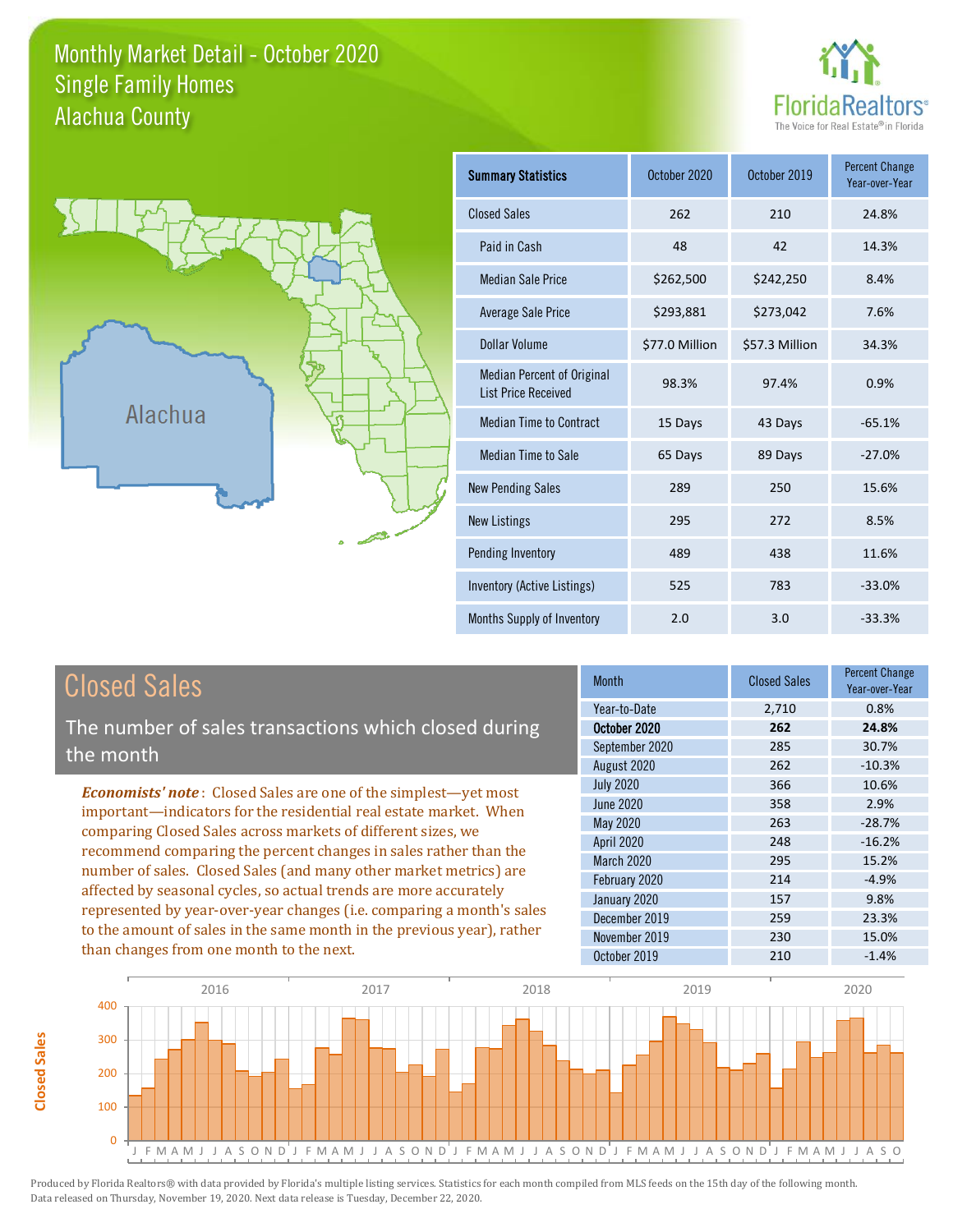### Monthly Market Detail - October 2020 Alachua County Single Family Homes





**Closed Sales**

**Closed Sales** 

| <b>Summary Statistics</b>                                       | October 2020   | October 2019   | <b>Percent Change</b><br>Year-over-Year |
|-----------------------------------------------------------------|----------------|----------------|-----------------------------------------|
| <b>Closed Sales</b>                                             | 262            | 210            | 24.8%                                   |
| Paid in Cash                                                    | 48             | 42             | 14.3%                                   |
| <b>Median Sale Price</b>                                        | \$262,500      | \$242,250      | 8.4%                                    |
| Average Sale Price                                              | \$293,881      | \$273,042      | 7.6%                                    |
| Dollar Volume                                                   | \$77.0 Million | \$57.3 Million | 34.3%                                   |
| <b>Median Percent of Original</b><br><b>List Price Received</b> | 98.3%          | 97.4%          | 0.9%                                    |
| <b>Median Time to Contract</b>                                  | 15 Days        | 43 Days        | $-65.1%$                                |
| Median Time to Sale                                             | 65 Days        | 89 Days        | $-27.0%$                                |
| <b>New Pending Sales</b>                                        | 289            | 250            | 15.6%                                   |
| <b>New Listings</b>                                             | 295            | 272            | 8.5%                                    |
| Pending Inventory                                               | 489            | 438            | 11.6%                                   |
| Inventory (Active Listings)                                     | 525            | 783            | $-33.0%$                                |
| Months Supply of Inventory                                      | 2.0            | 3.0            | $-33.3%$                                |

| <b>Closed Sales</b>                                                                                                                                                                                                                                                                                                                                                                                                                                                                                                                                                          | <b>Month</b>                                                        | <b>Closed Sales</b>        | <b>Percent Change</b><br>Year-over-Year |
|------------------------------------------------------------------------------------------------------------------------------------------------------------------------------------------------------------------------------------------------------------------------------------------------------------------------------------------------------------------------------------------------------------------------------------------------------------------------------------------------------------------------------------------------------------------------------|---------------------------------------------------------------------|----------------------------|-----------------------------------------|
| The number of sales transactions which closed during<br>the month                                                                                                                                                                                                                                                                                                                                                                                                                                                                                                            | Year-to-Date<br>October 2020<br>September 2020<br>August 2020       | 2,710<br>262<br>285<br>262 | 0.8%<br>24.8%<br>30.7%<br>$-10.3%$      |
| <b>Economists' note:</b> Closed Sales are one of the simplest—yet most<br>important-indicators for the residential real estate market. When<br>comparing Closed Sales across markets of different sizes, we<br>recommend comparing the percent changes in sales rather than the<br>number of sales. Closed Sales (and many other market metrics) are<br>affected by seasonal cycles, so actual trends are more accurately<br>represented by year-over-year changes (i.e. comparing a month's sales<br>to the amount of sales in the same month in the previous year), rather | <b>July 2020</b><br>June 2020<br>May 2020<br><b>April 2020</b>      | 366<br>358<br>263<br>248   | 10.6%<br>2.9%<br>$-28.7%$<br>$-16.2%$   |
|                                                                                                                                                                                                                                                                                                                                                                                                                                                                                                                                                                              | <b>March 2020</b><br>February 2020<br>January 2020<br>December 2019 | 295<br>214<br>157<br>259   | 15.2%<br>$-4.9%$<br>9.8%<br>23.3%       |
| than changes from one month to the next.                                                                                                                                                                                                                                                                                                                                                                                                                                                                                                                                     | November 2019<br>October 2019                                       | 230<br>210                 | 15.0%<br>$-1.4%$                        |

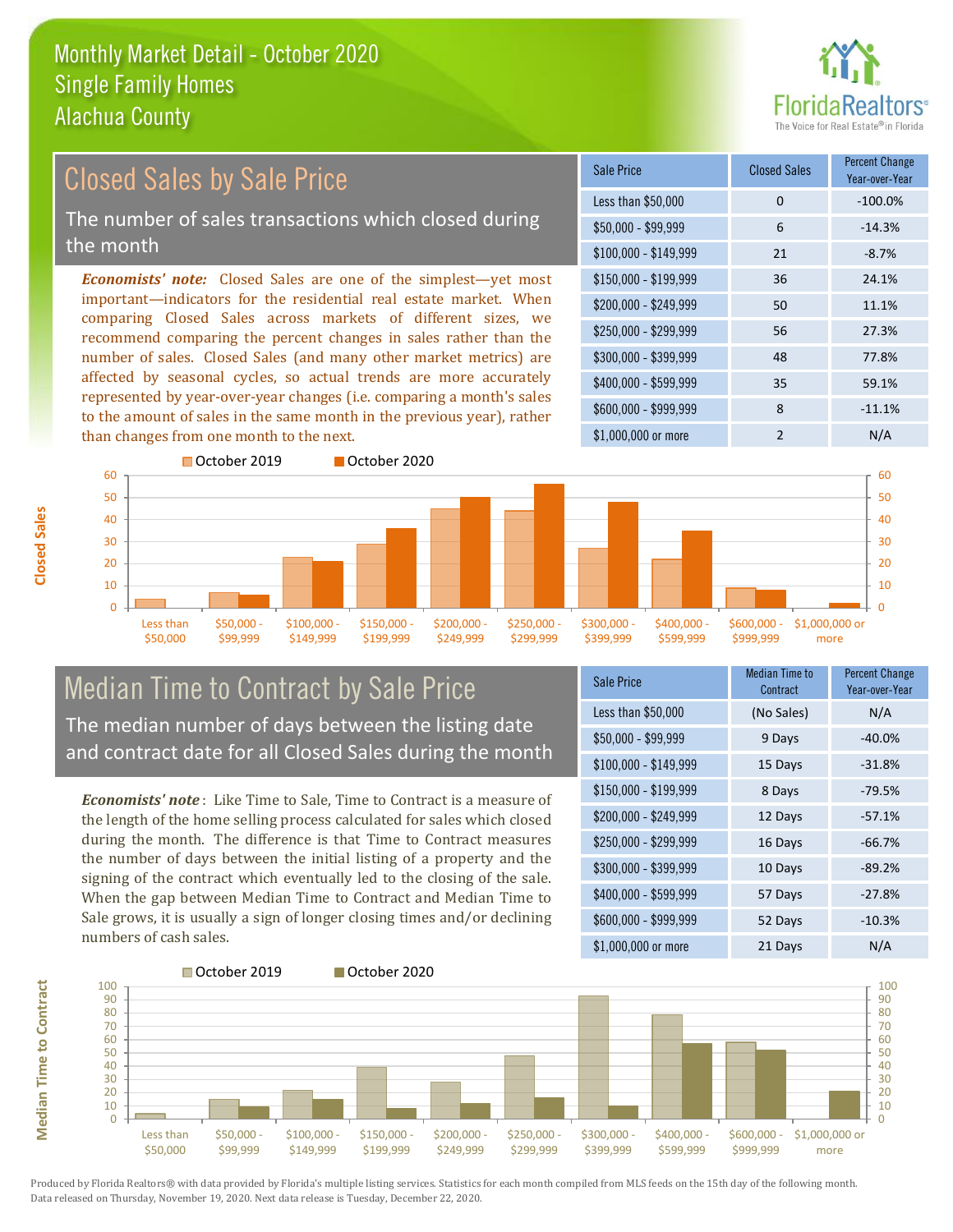

#### $$100,000 - $149,999$  21 -8.7% Sale Price Closed Sales Percent Change Year-over-Year Less than \$50,000 0 0 -100.0%  $$50,000 - $99,999$  6 -14.3% \$150,000 - \$199,999 36 24.1% \$200,000 - \$249,999 50 11.1% \$400,000 - \$599,999 35 59.1% \$600,000 - \$999,999 8 -11.1% *Economists' note:* Closed Sales are one of the simplest—yet most important—indicators for the residential real estate market. When comparing Closed Sales across markets of different sizes, we recommend comparing the percent changes in sales rather than the number of sales. Closed Sales (and many other market metrics) are affected by seasonal cycles, so actual trends are more accurately represented by year-over-year changes (i.e. comparing a month's sales to the amount of sales in the same month in the previous year), rather than changes from one month to the next. \$1,000,000 or more 2 N/A \$250,000 - \$299,999 56 27.3% \$300,000 - \$399,999 48 77.8%  $40$ 50 60 October 2019 October 2020  $40$ 50 60 Closed Sales by Sale Price The number of sales transactions which closed during the month



### Median Time to Contract by Sale Price The median number of days between the listing date and contract date for all Closed Sales during the month

*Economists' note* : Like Time to Sale, Time to Contract is a measure of the length of the home selling process calculated for sales which closed during the month. The difference is that Time to Contract measures the number of days between the initial listing of a property and the signing of the contract which eventually led to the closing of the sale. When the gap between Median Time to Contract and Median Time to Sale grows, it is usually a sign of longer closing times and/or declining numbers of cash sales.

| <b>Sale Price</b>     | Median Time to<br>Contract | Percent Change<br>Year-over-Year |
|-----------------------|----------------------------|----------------------------------|
| Less than \$50,000    | (No Sales)                 | N/A                              |
| $$50,000 - $99,999$   | 9 Days                     | $-40.0%$                         |
| $$100,000 - $149,999$ | 15 Days                    | $-31.8%$                         |
| $$150,000 - $199,999$ | 8 Days                     | $-79.5%$                         |
| \$200,000 - \$249,999 | 12 Days                    | $-57.1%$                         |
| \$250,000 - \$299,999 | 16 Days                    | $-66.7%$                         |
| \$300,000 - \$399,999 | 10 Days                    | $-89.2%$                         |
| \$400,000 - \$599,999 | 57 Days                    | -27.8%                           |
| \$600,000 - \$999,999 | 52 Days                    | $-10.3%$                         |
| \$1,000,000 or more   | 21 Days                    | N/A                              |



**Closed Sales**

**Median Time to Contract**

**Median Time to Contract** 

■October 2019 **■ October 2020**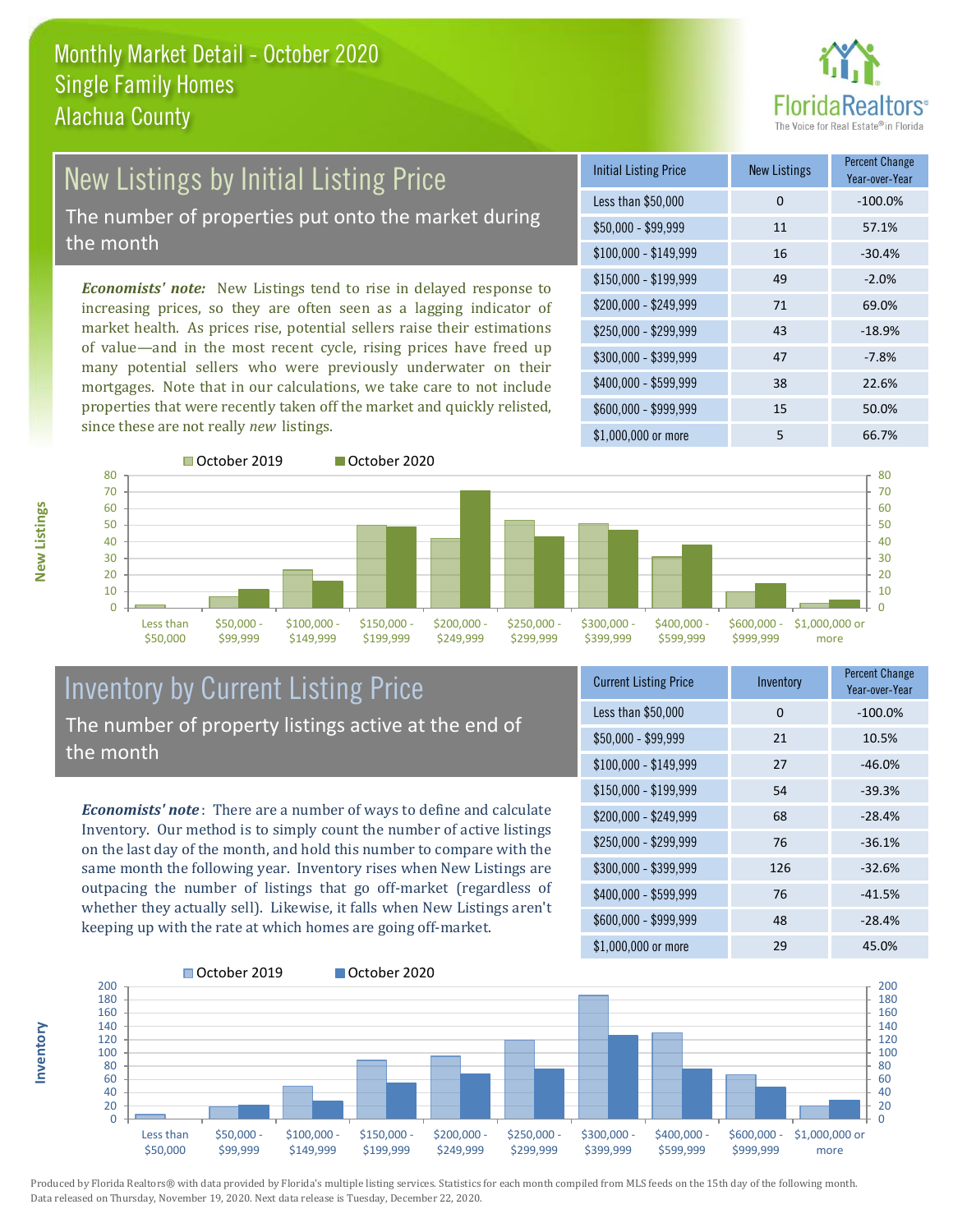

## New Listings by Initial Listing Price The number of properties put onto the market during

the month

*Economists' note:* New Listings tend to rise in delayed response to increasing prices, so they are often seen as a lagging indicator of market health. As prices rise, potential sellers raise their estimations of value—and in the most recent cycle, rising prices have freed up many potential sellers who were previously underwater on their mortgages. Note that in our calculations, we take care to not include properties that were recently taken off the market and quickly relisted, since these are not really *new* listings.

| <b>Initial Listing Price</b> | <b>New Listings</b> | <b>Percent Change</b><br>Year-over-Year |
|------------------------------|---------------------|-----------------------------------------|
| Less than \$50,000           | 0                   | $-100.0%$                               |
| $$50,000 - $99,999$          | 11                  | 57.1%                                   |
| $$100,000 - $149,999$        | 16                  | $-30.4%$                                |
| $$150,000 - $199,999$        | 49                  | $-2.0%$                                 |
| \$200,000 - \$249,999        | 71                  | 69.0%                                   |
| $$250,000 - $299,999$        | 43                  | $-18.9%$                                |
| \$300,000 - \$399,999        | 47                  | $-7.8%$                                 |
| \$400,000 - \$599,999        | 38                  | 22.6%                                   |
| \$600,000 - \$999,999        | 15                  | 50.0%                                   |
| \$1,000,000 or more          | 5                   | 66.7%                                   |



#### Inventory by Current Listing Price The number of property listings active at the end of the month

*Economists' note* : There are a number of ways to define and calculate Inventory. Our method is to simply count the number of active listings on the last day of the month, and hold this number to compare with the same month the following year. Inventory rises when New Listings are outpacing the number of listings that go off-market (regardless of whether they actually sell). Likewise, it falls when New Listings aren't keeping up with the rate at which homes are going off-market.

| <b>Current Listing Price</b> | Inventory | <b>Percent Change</b><br>Year-over-Year |
|------------------------------|-----------|-----------------------------------------|
| Less than \$50,000           | 0         | $-100.0%$                               |
| $$50,000 - $99,999$          | 21        | 10.5%                                   |
| $$100,000 - $149,999$        | 27        | $-46.0%$                                |
| $$150,000 - $199,999$        | 54        | $-39.3%$                                |
| \$200,000 - \$249,999        | 68        | $-28.4%$                                |
| \$250,000 - \$299,999        | 76        | $-36.1%$                                |
| \$300,000 - \$399,999        | 126       | $-32.6%$                                |
| $$400,000 - $599,999$        | 76        | $-41.5%$                                |
| \$600,000 - \$999,999        | 48        | $-28.4%$                                |
| \$1,000,000 or more          | 29        | 45.0%                                   |



Produced by Florida Realtors® with data provided by Florida's multiple listing services. Statistics for each month compiled from MLS feeds on the 15th day of the following month. Data released on Thursday, November 19, 2020. Next data release is Tuesday, December 22, 2020.

**Inventory**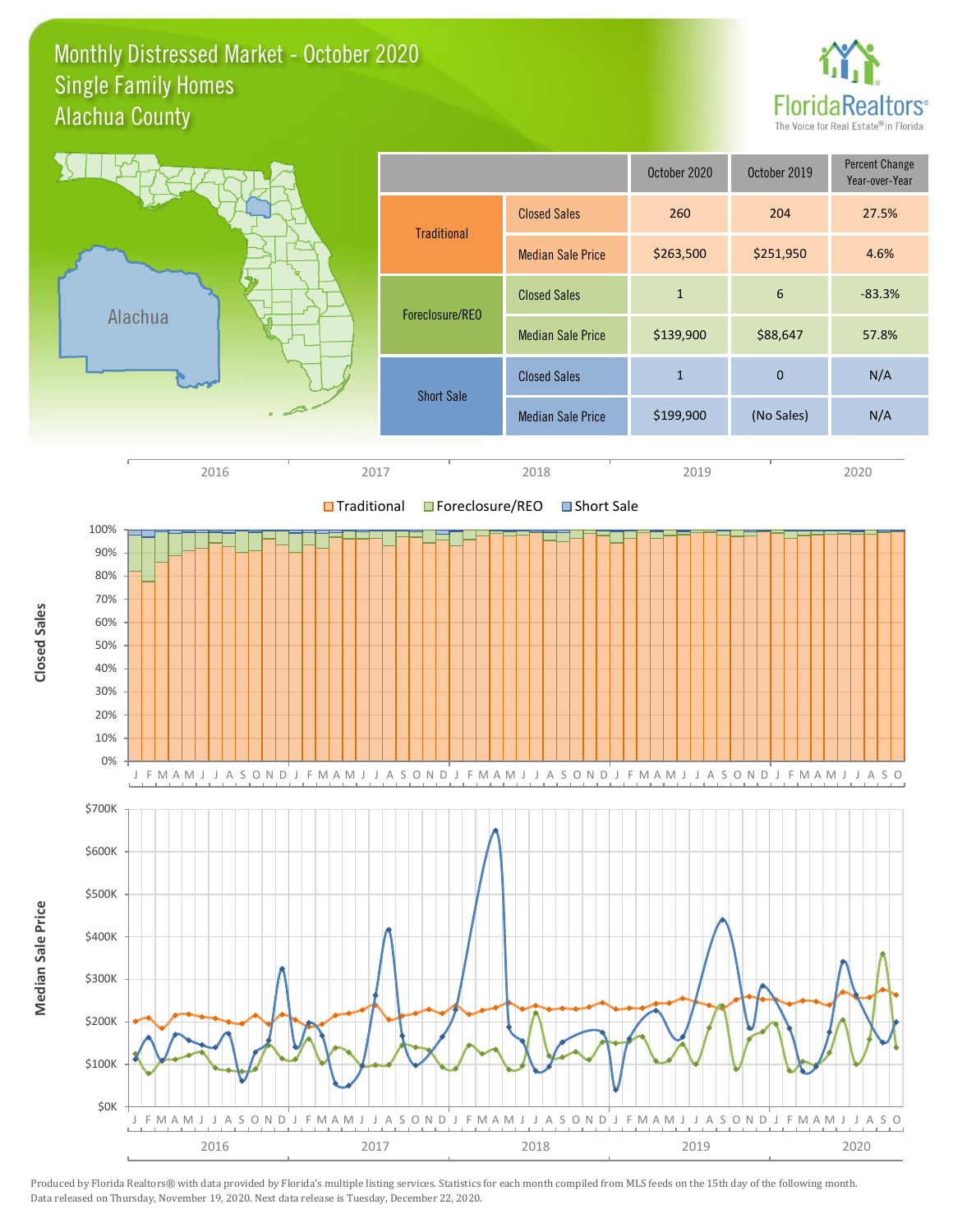#### Monthly Distressed Market - October 2020 Alachua County Single Family Homes



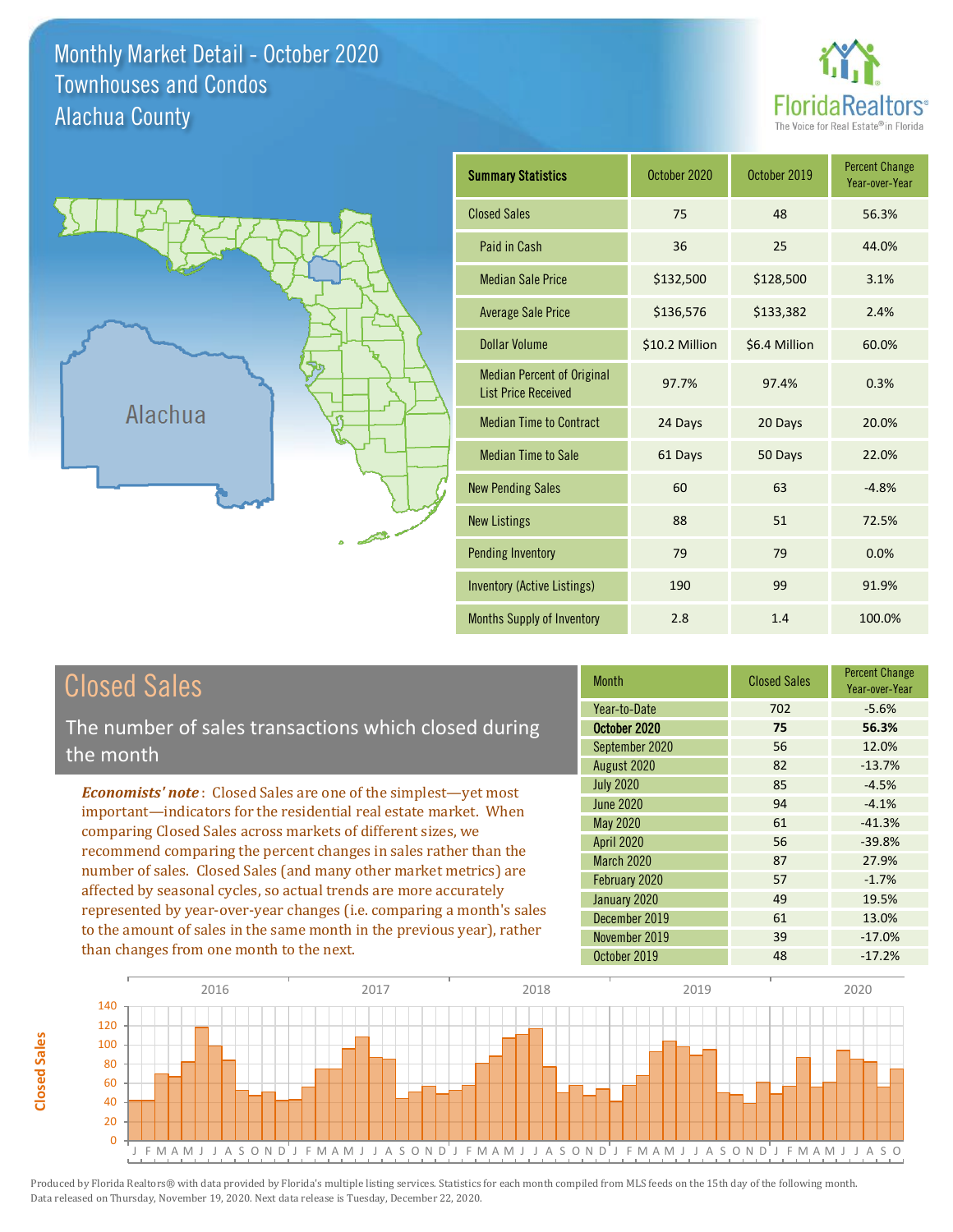Monthly Market Detail - October 2020 Alachua County Townhouses and Condos





| <b>Summary Statistics</b>                                       | October 2020   | October 2019  | <b>Percent Change</b><br>Year-over-Year |
|-----------------------------------------------------------------|----------------|---------------|-----------------------------------------|
| <b>Closed Sales</b>                                             | 75             | 48            | 56.3%                                   |
| Paid in Cash                                                    | 36             | 25            | 44.0%                                   |
| <b>Median Sale Price</b>                                        | \$132,500      | \$128,500     | 3.1%                                    |
| <b>Average Sale Price</b>                                       | \$136,576      | \$133,382     | 2.4%                                    |
| <b>Dollar Volume</b>                                            | \$10.2 Million | \$6.4 Million | 60.0%                                   |
| <b>Median Percent of Original</b><br><b>List Price Received</b> | 97.7%          | 97.4%         | 0.3%                                    |
| <b>Median Time to Contract</b>                                  | 24 Days        | 20 Days       | 20.0%                                   |
| <b>Median Time to Sale</b>                                      | 61 Days        | 50 Days       | 22.0%                                   |
| <b>New Pending Sales</b>                                        | 60             | 63            | $-4.8%$                                 |
| <b>New Listings</b>                                             | 88             | 51            | 72.5%                                   |
| <b>Pending Inventory</b>                                        | 79             | 79            | 0.0%                                    |
| <b>Inventory (Active Listings)</b>                              | 190            | 99            | 91.9%                                   |
| Months Supply of Inventory                                      | 2.8            | 1.4           | 100.0%                                  |

# Closed Sales

The number of sales transactions which closed during the month

*Economists' note* : Closed Sales are one of the simplest—yet most important—indicators for the residential real estate market. When comparing Closed Sales across markets of different sizes, we recommend comparing the percent changes in sales rather than the number of sales. Closed Sales (and many other market metrics) are affected by seasonal cycles, so actual trends are more accurately represented by year-over-year changes (i.e. comparing a month's sales to the amount of sales in the same month in the previous year), rather than changes from one month to the next.

| <b>Month</b>      | <b>Closed Sales</b> | <b>Percent Change</b><br>Year-over-Year |
|-------------------|---------------------|-----------------------------------------|
| Year-to-Date      | 702                 | $-5.6%$                                 |
| October 2020      | 75                  | 56.3%                                   |
| September 2020    | 56                  | 12.0%                                   |
| August 2020       | 82                  | $-13.7%$                                |
| <b>July 2020</b>  | 85                  | $-4.5%$                                 |
| <b>June 2020</b>  | 94                  | $-4.1%$                                 |
| May 2020          | 61                  | $-41.3%$                                |
| <b>April 2020</b> | 56                  | $-39.8%$                                |
| March 2020        | 87                  | 27.9%                                   |
| February 2020     | 57                  | $-1.7%$                                 |
| January 2020      | 49                  | 19.5%                                   |
| December 2019     | 61                  | 13.0%                                   |
| November 2019     | 39                  | $-17.0%$                                |
| October 2019      | 48                  | $-17.2%$                                |

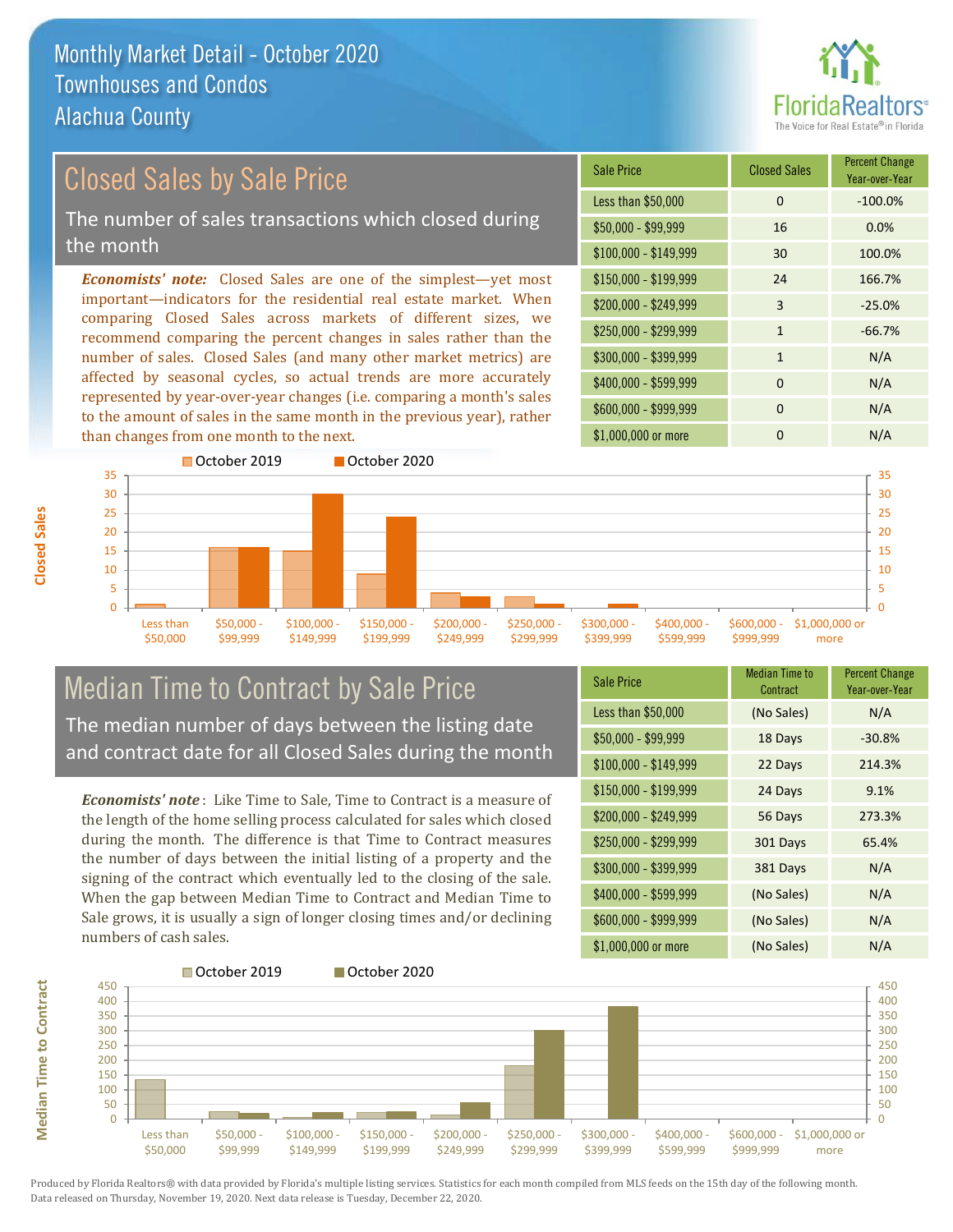than changes from one month to the next.



#### \$100,000 - \$149,999 30 100.0% Sale Price Closed Sales Percent Change Year-over-Year Less than \$50,000 0 0 -100.0%  $$50,000 - $99,999$  16 0.0% \$150,000 - \$199,999 24 166.7% \$200,000 - \$249,999 3 -25.0%  $$400,000 - $599,999$  0 N/A *Economists' note:* Closed Sales are one of the simplest—yet most important—indicators for the residential real estate market. When comparing Closed Sales across markets of different sizes, we recommend comparing the percent changes in sales rather than the number of sales. Closed Sales (and many other market metrics) are affected by seasonal cycles, so actual trends are more accurately  $$250,000 - $299,999$  1 -66.7%  $$300,000 - $399,999$  1 N/A Closed Sales by Sale Price The number of sales transactions which closed during the month



#### Median Time to Contract by Sale Price The median number of days between the listing date and contract date for all Closed Sales during the month

represented by year-over-year changes (i.e. comparing a month's sales to the amount of sales in the same month in the previous year), rather

*Economists' note* : Like Time to Sale, Time to Contract is a measure of the length of the home selling process calculated for sales which closed during the month. The difference is that Time to Contract measures the number of days between the initial listing of a property and the signing of the contract which eventually led to the closing of the sale. When the gap between Median Time to Contract and Median Time to Sale grows, it is usually a sign of longer closing times and/or declining numbers of cash sales.

| <b>Sale Price</b>     | Median Time to<br>Contract | <b>Percent Change</b><br>Year-over-Year |
|-----------------------|----------------------------|-----------------------------------------|
| Less than \$50,000    | (No Sales)                 | N/A                                     |
| \$50,000 - \$99,999   | 18 Days                    | $-30.8%$                                |
| $$100,000 - $149,999$ | 22 Days                    | 214.3%                                  |
| $$150,000 - $199,999$ | 24 Days                    | 9.1%                                    |
| \$200,000 - \$249,999 | 56 Days                    | 273.3%                                  |
| $$250,000 - $299,999$ | 301 Days                   | 65.4%                                   |
| \$300,000 - \$399,999 | 381 Days                   | N/A                                     |
| $$400,000 - $599,999$ | (No Sales)                 | N/A                                     |
| \$600,000 - \$999,999 | (No Sales)                 | N/A                                     |
| \$1,000,000 or more   | (No Sales)                 | N/A                                     |

\$600,000 - \$999,999 0 0 N/A

\$1,000,000 or more 0 0 N/A



Produced by Florida Realtors® with data provided by Florida's multiple listing services. Statistics for each month compiled from MLS feeds on the 15th day of the following month. Data released on Thursday, November 19, 2020. Next data release is Tuesday, December 22, 2020.

**Median Time to Contract**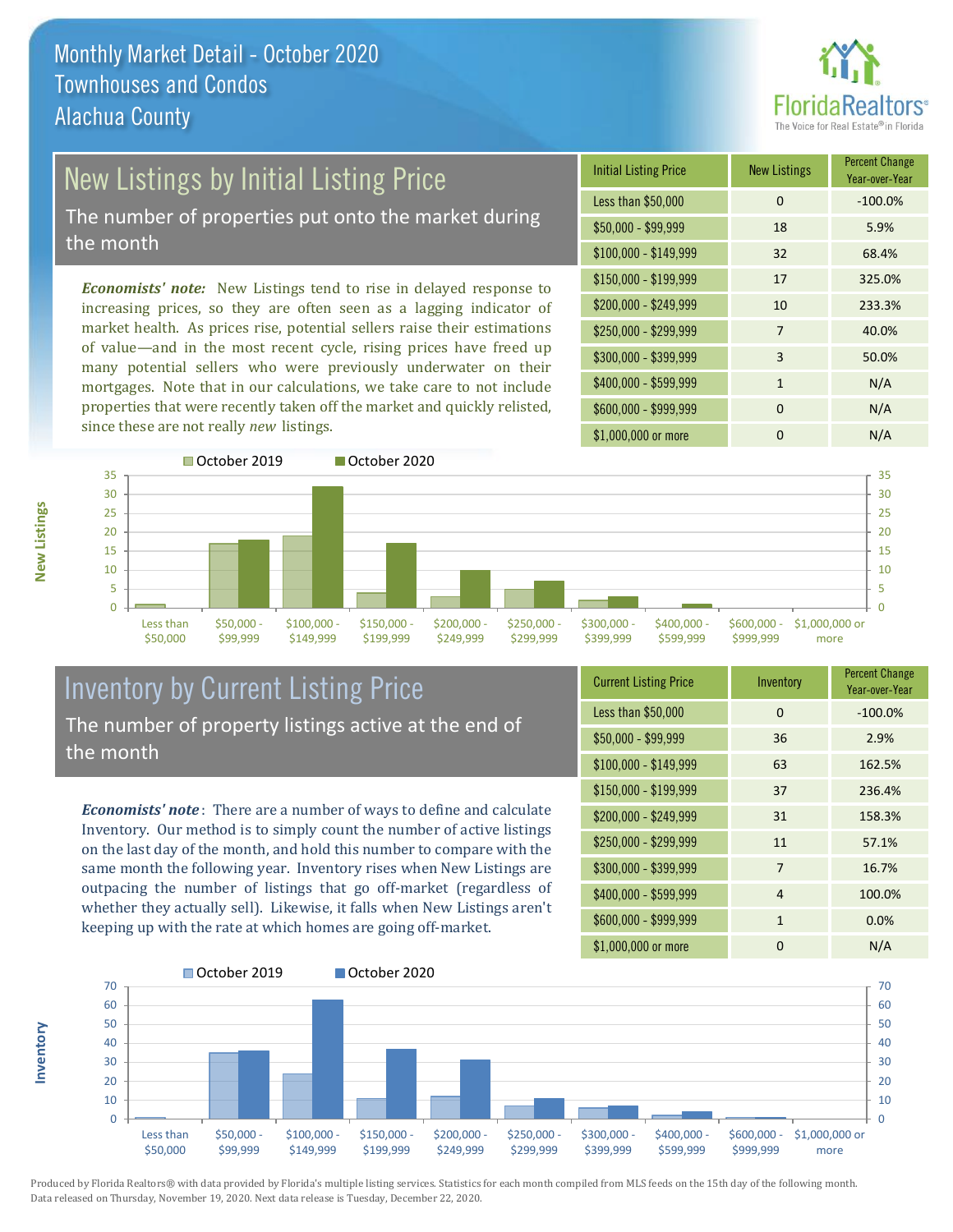

# **New Listings by Initial Listing Price**

The number of properties put onto the market during the month

*Economists' note:* New Listings tend to rise in delayed response to increasing prices, so they are often seen as a lagging indicator of market health. As prices rise, potential sellers raise their estimations of value—and in the most recent cycle, rising prices have freed up many potential sellers who were previously underwater on their mortgages. Note that in our calculations, we take care to not include properties that were recently taken off the market and quickly relisted, since these are not really *new* listings.

| <b>Initial Listing Price</b> | <b>New Listings</b> | <b>Percent Change</b><br>Year-over-Year |
|------------------------------|---------------------|-----------------------------------------|
| Less than \$50,000           | $\Omega$            | $-100.0%$                               |
| $$50,000 - $99,999$          | 18                  | 5.9%                                    |
| $$100,000 - $149,999$        | 32                  | 68.4%                                   |
| $$150,000 - $199,999$        | 17                  | 325.0%                                  |
| \$200,000 - \$249,999        | 10                  | 233.3%                                  |
| \$250,000 - \$299,999        | 7                   | 40.0%                                   |
| \$300,000 - \$399,999        | 3                   | 50.0%                                   |
| \$400,000 - \$599,999        | $\mathbf{1}$        | N/A                                     |
| \$600,000 - \$999,999        | $\Omega$            | N/A                                     |
| \$1,000,000 or more          | n                   | N/A                                     |



### Inventory by Current Listing Price The number of property listings active at the end of the month

*Economists' note* : There are a number of ways to define and calculate Inventory. Our method is to simply count the number of active listings on the last day of the month, and hold this number to compare with the same month the following year. Inventory rises when New Listings are outpacing the number of listings that go off-market (regardless of whether they actually sell). Likewise, it falls when New Listings aren't keeping up with the rate at which homes are going off-market.

| <b>Current Listing Price</b> | Inventory    | <b>Percent Change</b><br>Year-over-Year |
|------------------------------|--------------|-----------------------------------------|
| Less than \$50,000           | $\Omega$     | $-100.0%$                               |
| $$50,000 - $99,999$          | 36           | 2.9%                                    |
| $$100,000 - $149,999$        | 63           | 162.5%                                  |
| $$150,000 - $199,999$        | 37           | 236.4%                                  |
| \$200,000 - \$249,999        | 31           | 158.3%                                  |
| \$250,000 - \$299,999        | 11           | 57.1%                                   |
| \$300,000 - \$399,999        | 7            | 16.7%                                   |
| \$400,000 - \$599,999        | 4            | 100.0%                                  |
| \$600,000 - \$999,999        | $\mathbf{1}$ | 0.0%                                    |
| \$1,000,000 or more          | O            | N/A                                     |



Produced by Florida Realtors® with data provided by Florida's multiple listing services. Statistics for each month compiled from MLS feeds on the 15th day of the following month. Data released on Thursday, November 19, 2020. Next data release is Tuesday, December 22, 2020.

**Inventory**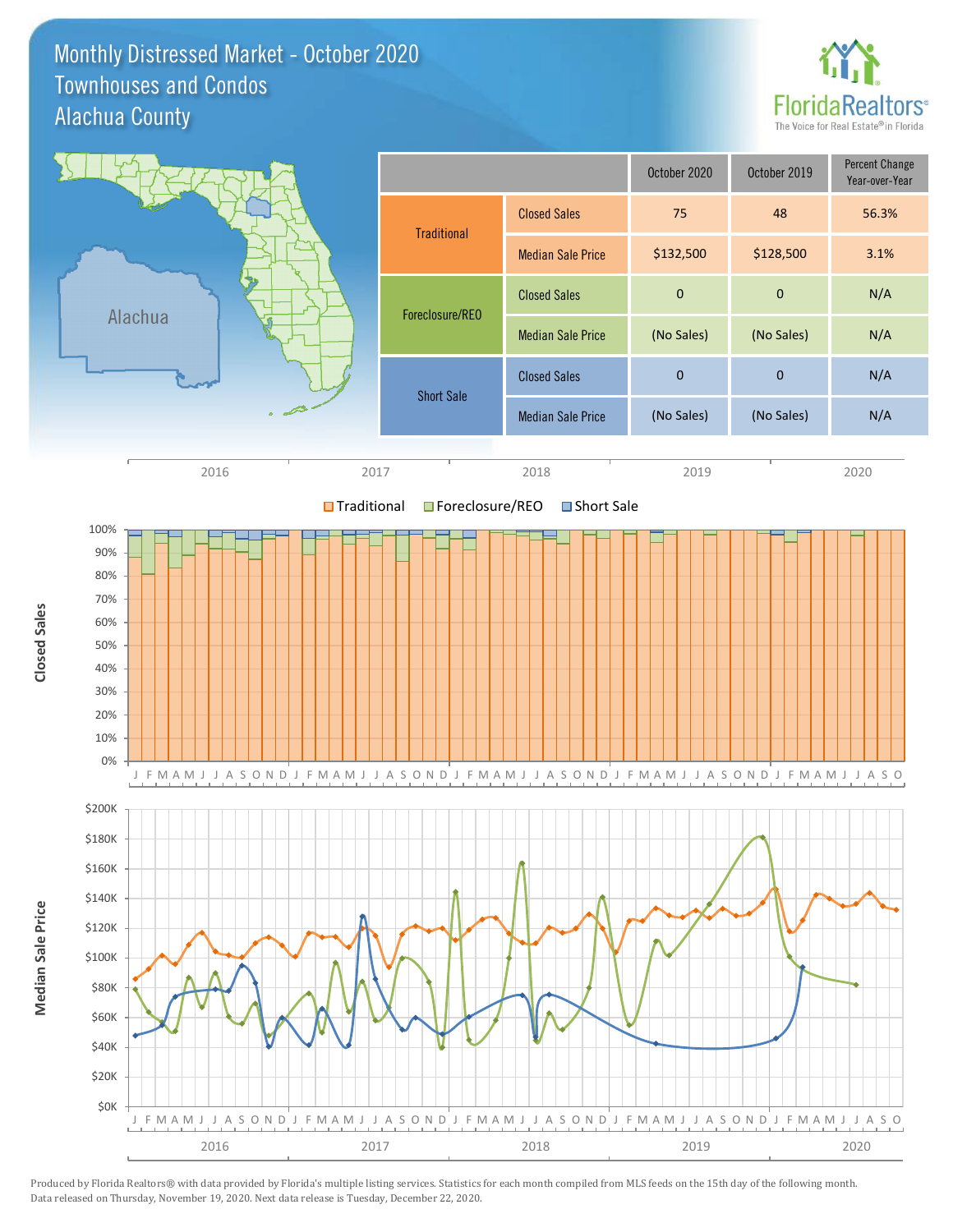Monthly Distressed Market - October 2020 Alachua County Townhouses and Condos



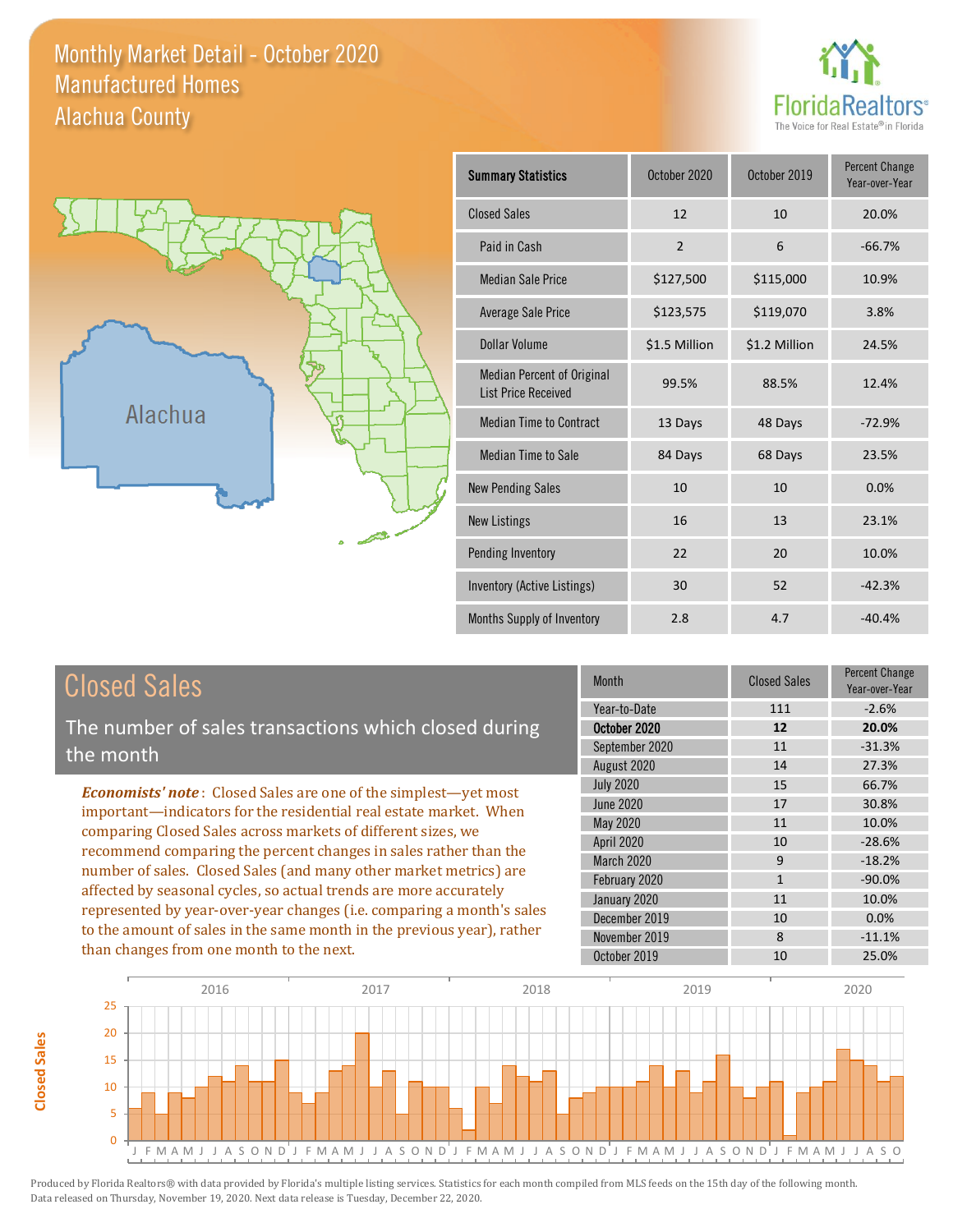Monthly Market Detail - October 2020 Alachua County Manufactured Homes





| <b>Summary Statistics</b>                                       | October 2020   | October 2019  | <b>Percent Change</b><br>Year-over-Year |
|-----------------------------------------------------------------|----------------|---------------|-----------------------------------------|
| <b>Closed Sales</b>                                             | 12             | 10            | 20.0%                                   |
| Paid in Cash                                                    | $\overline{2}$ | 6             | $-66.7%$                                |
| <b>Median Sale Price</b>                                        | \$127,500      | \$115,000     | 10.9%                                   |
| Average Sale Price                                              | \$123,575      | \$119,070     | 3.8%                                    |
| Dollar Volume                                                   | \$1.5 Million  | \$1.2 Million | 24.5%                                   |
| <b>Median Percent of Original</b><br><b>List Price Received</b> | 99.5%          | 88.5%         | 12.4%                                   |
| <b>Median Time to Contract</b>                                  | 13 Days        | 48 Days       | $-72.9%$                                |
| <b>Median Time to Sale</b>                                      | 84 Days        | 68 Days       | 23.5%                                   |
| <b>New Pending Sales</b>                                        | 10             | 10            | 0.0%                                    |
| <b>New Listings</b>                                             | 16             | 13            | 23.1%                                   |
| Pending Inventory                                               | 22             | 20            | 10.0%                                   |
| Inventory (Active Listings)                                     | 30             | 52            | $-42.3%$                                |
| Months Supply of Inventory                                      | 2.8            | 4.7           | $-40.4%$                                |

**Closed Sales**

**Closed Sales** 

The number of sales transactions which closed during the month

*Economists' note* : Closed Sales are one of the simplest—yet most important—indicators for the residential real estate market. When comparing Closed Sales across markets of different sizes, we recommend comparing the percent changes in sales rather than the number of sales. Closed Sales (and many other market metrics) are affected by seasonal cycles, so actual trends are more accurately represented by year-over-year changes (i.e. comparing a month's sales to the amount of sales in the same month in the previous year), rather than changes from one month to the next.

| Month            | <b>Closed Sales</b> | <b>Percent Change</b><br>Year-over-Year |
|------------------|---------------------|-----------------------------------------|
| Year-to-Date     | 111                 | $-2.6%$                                 |
| October 2020     | 12                  | 20.0%                                   |
| September 2020   | 11                  | $-31.3%$                                |
| August 2020      | 14                  | 27.3%                                   |
| <b>July 2020</b> | 15                  | 66.7%                                   |
| <b>June 2020</b> | 17                  | 30.8%                                   |
| <b>May 2020</b>  | 11                  | 10.0%                                   |
| April 2020       | 10                  | $-28.6%$                                |
| March 2020       | 9                   | $-18.2%$                                |
| February 2020    | $\mathbf{1}$        | $-90.0%$                                |
| January 2020     | 11                  | 10.0%                                   |
| December 2019    | 10                  | 0.0%                                    |
| November 2019    | 8                   | $-11.1%$                                |
| October 2019     | 10                  | 25.0%                                   |

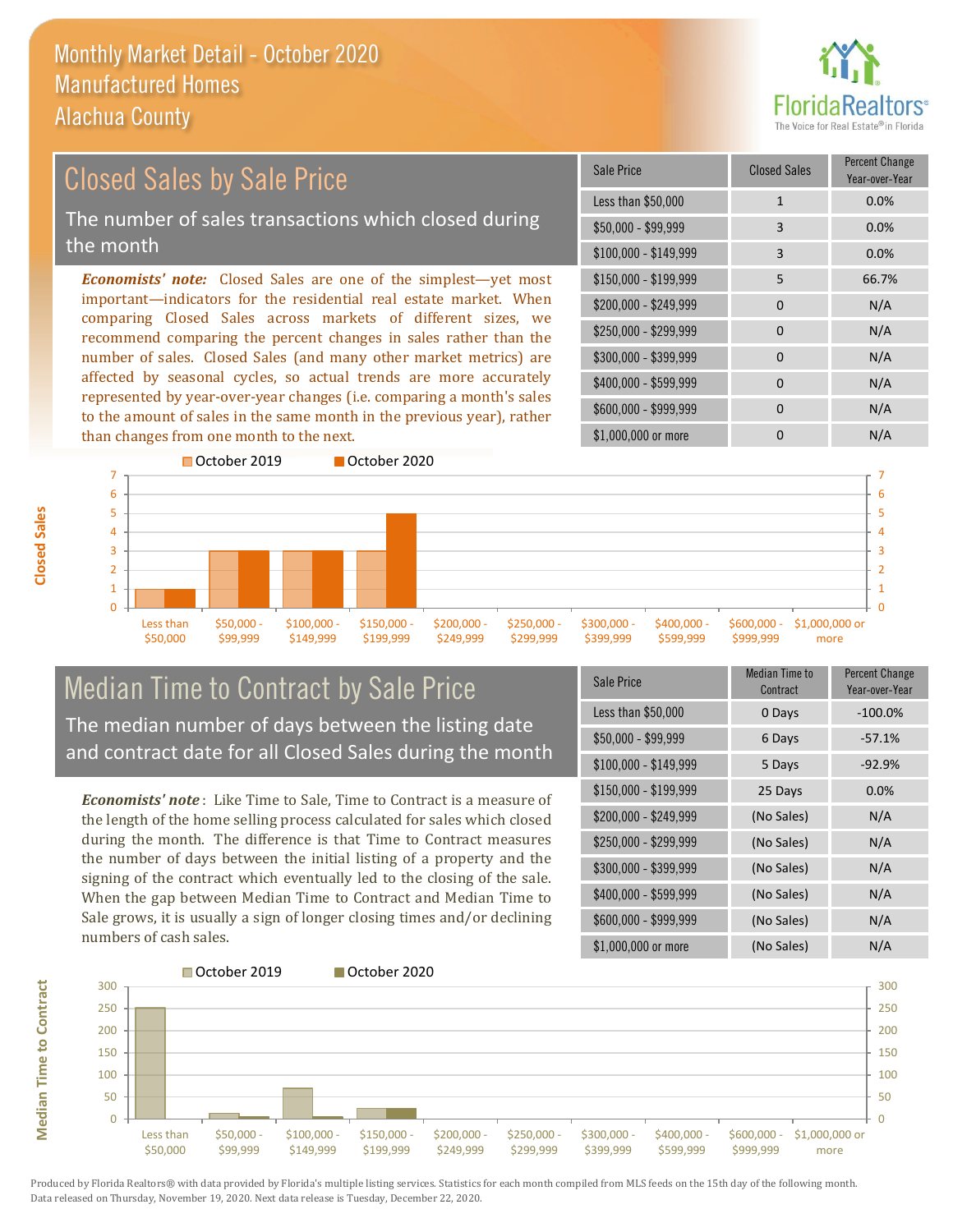

#### \$100,000 - \$149,999 3 0.0% Sale Price Closed Sales Percent Change Year-over-Year Less than \$50,000 1 1 0.0% \$50,000 - \$99,999 3 0.0% \$150,000 - \$199,999 5 66.7% \$200,000 - \$249,999 0 N/A  $$400,000 - $599,999$  0 N/A \$600,000 - \$999,999 0 0 N/A *Economists' note:* Closed Sales are one of the simplest—yet most important—indicators for the residential real estate market. When comparing Closed Sales across markets of different sizes, we recommend comparing the percent changes in sales rather than the number of sales. Closed Sales (and many other market metrics) are affected by seasonal cycles, so actual trends are more accurately represented by year-over-year changes (i.e. comparing a month's sales to the amount of sales in the same month in the previous year), rather than changes from one month to the next. \$1,000,000 or more 0 0 N/A \$250,000 - \$299,999 0 0 N/A \$300,000 - \$399,999 0 0 N/A Closed Sales by Sale Price The number of sales transactions which closed during the month



### Median Time to Contract by Sale Price The median number of days between the listing date and contract date for all Closed Sales during the month

*Economists' note* : Like Time to Sale, Time to Contract is a measure of the length of the home selling process calculated for sales which closed during the month. The difference is that Time to Contract measures the number of days between the initial listing of a property and the signing of the contract which eventually led to the closing of the sale. When the gap between Median Time to Contract and Median Time to Sale grows, it is usually a sign of longer closing times and/or declining numbers of cash sales.

| Sale Price            | Median Time to<br>Contract | <b>Percent Change</b><br>Year-over-Year |
|-----------------------|----------------------------|-----------------------------------------|
| Less than \$50,000    | 0 Days                     | $-100.0%$                               |
| $$50,000 - $99,999$   | 6 Days                     | $-57.1%$                                |
| $$100,000 - $149,999$ | 5 Days                     | $-92.9%$                                |
| \$150,000 - \$199,999 | 25 Days                    | 0.0%                                    |
| \$200,000 - \$249,999 | (No Sales)                 | N/A                                     |
| \$250,000 - \$299,999 | (No Sales)                 | N/A                                     |
| \$300,000 - \$399,999 | (No Sales)                 | N/A                                     |
| \$400,000 - \$599,999 | (No Sales)                 | N/A                                     |
| \$600,000 - \$999,999 | (No Sales)                 | N/A                                     |
| \$1,000,000 or more   | (No Sales)                 | N/A                                     |

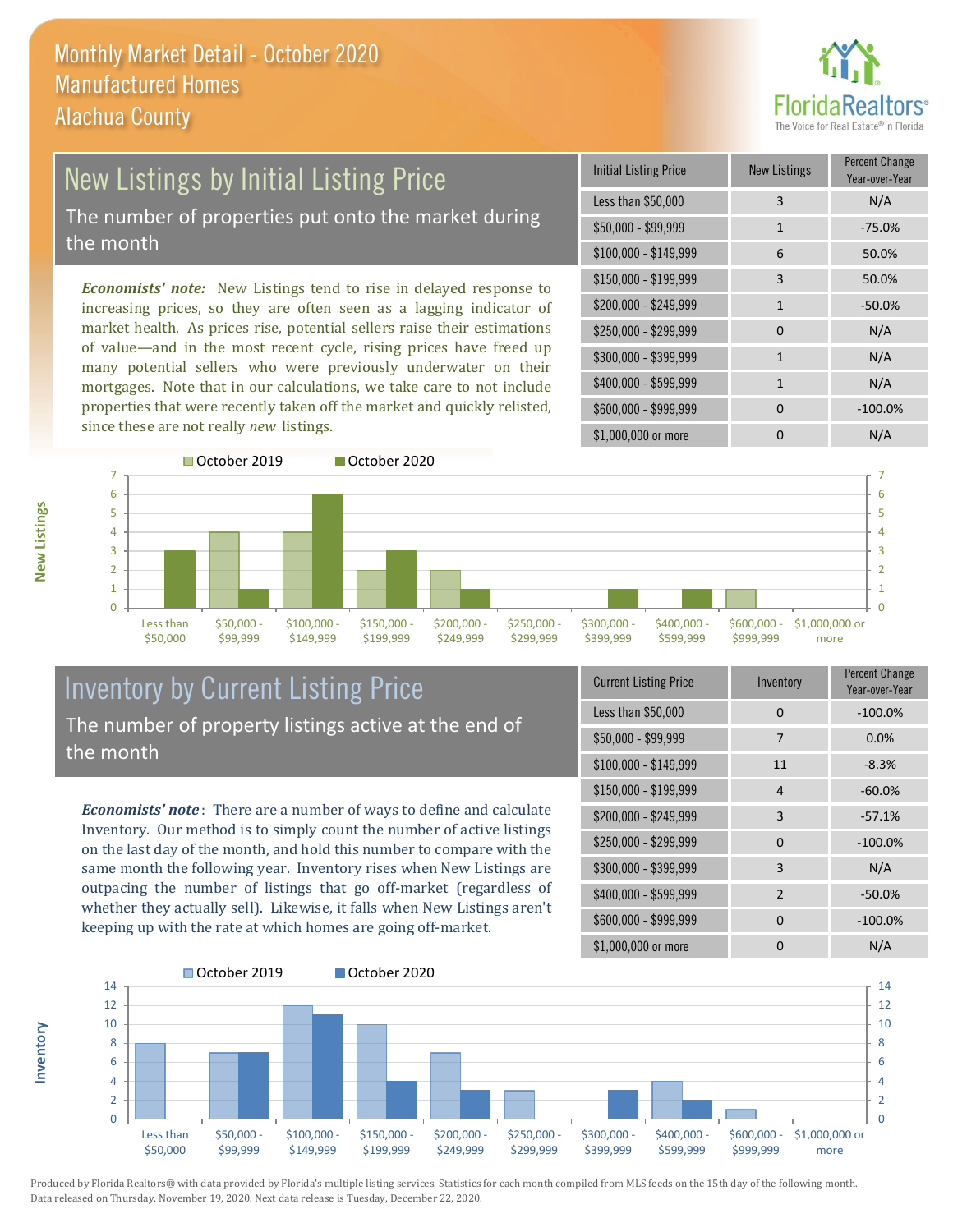

### New Listings by Initial Listing Price The number of properties put onto the market during the month

*Economists' note:* New Listings tend to rise in delayed response to increasing prices, so they are often seen as a lagging indicator of market health. As prices rise, potential sellers raise their estimations of value—and in the most recent cycle, rising prices have freed up many potential sellers who were previously underwater on their mortgages. Note that in our calculations, we take care to not include properties that were recently taken off the market and quickly relisted, since these are not really *new* listings.

| <b>Initial Listing Price</b> | <b>New Listings</b> | <b>Percent Change</b><br>Year-over-Year |
|------------------------------|---------------------|-----------------------------------------|
| Less than \$50,000           | 3                   | N/A                                     |
| \$50,000 - \$99,999          | $\mathbf{1}$        | $-75.0%$                                |
| $$100,000 - $149,999$        | 6                   | 50.0%                                   |
| \$150,000 - \$199,999        | 3                   | 50.0%                                   |
| \$200,000 - \$249,999        | $\mathbf{1}$        | $-50.0%$                                |
| \$250,000 - \$299,999        | 0                   | N/A                                     |
| \$300,000 - \$399,999        | 1                   | N/A                                     |
| \$400,000 - \$599,999        | 1                   | N/A                                     |
| \$600,000 - \$999,999        | $\Omega$            | $-100.0%$                               |
| \$1,000,000 or more          | n                   | N/A                                     |



### Inventory by Current Listing Price The number of property listings active at the end of the month

*Economists' note* : There are a number of ways to define and calculate Inventory. Our method is to simply count the number of active listings on the last day of the month, and hold this number to compare with the same month the following year. Inventory rises when New Listings are outpacing the number of listings that go off-market (regardless of whether they actually sell). Likewise, it falls when New Listings aren't keeping up with the rate at which homes are going off-market.

| <b>Current Listing Price</b> | Inventory      | Percent Change<br>Year-over-Year |
|------------------------------|----------------|----------------------------------|
| Less than \$50,000           | 0              | $-100.0%$                        |
| $$50,000 - $99,999$          | 7              | 0.0%                             |
| $$100,000 - $149,999$        | 11             | $-8.3%$                          |
| \$150,000 - \$199,999        | 4              | $-60.0%$                         |
| \$200,000 - \$249,999        | 3              | $-57.1%$                         |
| \$250,000 - \$299,999        | $\Omega$       | $-100.0%$                        |
| \$300,000 - \$399,999        | 3              | N/A                              |
| \$400,000 - \$599,999        | $\overline{2}$ | $-50.0%$                         |
| \$600,000 - \$999,999        | <sup>0</sup>   | $-100.0%$                        |
| \$1,000,000 or more          | ŋ              | N/A                              |



Produced by Florida Realtors® with data provided by Florida's multiple listing services. Statistics for each month compiled from MLS feeds on the 15th day of the following month. Data released on Thursday, November 19, 2020. Next data release is Tuesday, December 22, 2020.

**Inventory**